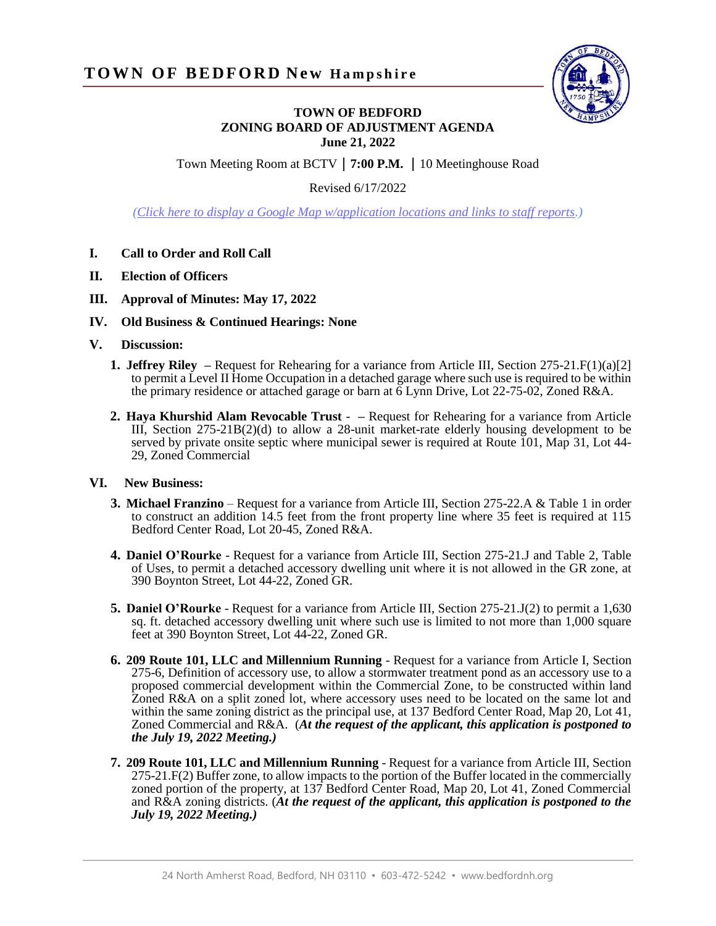

## **TOWN OF BEDFORD ZONING BOARD OF ADJUSTMENT AGENDA June 21, 2022**

Town Meeting Room at BCTV**7:00 P.M.** 10 Meetinghouse Road

Revised 6/17/2022

*[\(Click here to display a Google Map w/application locations and links to staff reports.](https://www.google.com/maps/d/edit?hl=en&mid=14xxox-tFRdlupO37Kt6u87uaukifJVE9&ll=42.93328415734702%2C-71.52939743159942&z=17))*

- **I. Call to Order and Roll Call**
- **II. Election of Officers**
- **III. Approval of Minutes: May 17, 2022**
- **IV. Old Business & Continued Hearings: None**
- **V. Discussion:**
	- **1. Jeffrey Riley –** Request for Rehearing for a variance from Article III, Section 275-21.F(1)(a)[2] to permit a Level II Home Occupation in a detached garage where such use is required to be within the primary residence or attached garage or barn at 6 Lynn Drive, Lot 22-75-02, Zoned R&A.
	- **2. Haya Khurshid Alam Revocable Trust –** Request for Rehearing for a variance from Article III, Section 275-21B(2)(d) to allow a 28-unit market-rate elderly housing development to be served by private onsite septic where municipal sewer is required at Route 101, Map 31, Lot 44- 29, Zoned Commercial

## **VI. New Business:**

- **3. Michael Franzino** Request for a variance from Article III, Section 275-22.A & Table 1 in order to construct an addition 14.5 feet from the front property line where 35 feet is required at 115 Bedford Center Road, Lot 20-45, Zoned R&A.
- **4. Daniel O'Rourke** Request for a variance from Article III, Section 275-21.J and Table 2, Table of Uses, to permit a detached accessory dwelling unit where it is not allowed in the GR zone, at 390 Boynton Street, Lot 44-22, Zoned GR.
- **5. Daniel O'Rourke** Request for a variance from Article III, Section 275-21.J(2) to permit a 1,630 sq. ft. detached accessory dwelling unit where such use is limited to not more than 1,000 square feet at 390 Boynton Street, Lot 44-22, Zoned GR.
- **6. 209 Route 101, LLC and Millennium Running** Request for a variance from Article I, Section 275-6, Definition of accessory use, to allow a stormwater treatment pond as an accessory use to a proposed commercial development within the Commercial Zone, to be constructed within land Zoned R&A on a split zoned lot, where accessory uses need to be located on the same lot and within the same zoning district as the principal use, at 137 Bedford Center Road, Map 20, Lot 41, Zoned Commercial and R&A. (*At the request of the applicant, this application is postponed to the July 19, 2022 Meeting.)*
- **7. 209 Route 101, LLC and Millennium Running** Request for a variance from Article III, Section 275-21.F(2) Buffer zone, to allow impacts to the portion of the Buffer located in the commercially zoned portion of the property, at 137 Bedford Center Road, Map 20, Lot 41, Zoned Commercial and R&A zoning districts. (*At the request of the applicant, this application is postponed to the July 19, 2022 Meeting.)*